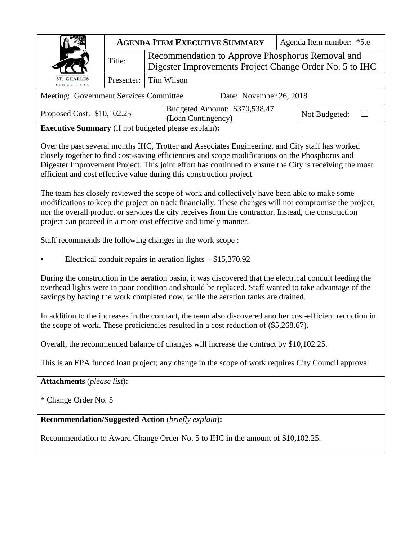|                                                                                                                                                                                                                                                                                                                                                                                      |                                                                                                             | <b>AGENDA ITEM EXECUTIVE SUMMARY</b>                        | Agenda Item number: *5.e |  |  |  |  |
|--------------------------------------------------------------------------------------------------------------------------------------------------------------------------------------------------------------------------------------------------------------------------------------------------------------------------------------------------------------------------------------|-------------------------------------------------------------------------------------------------------------|-------------------------------------------------------------|--------------------------|--|--|--|--|
|                                                                                                                                                                                                                                                                                                                                                                                      | Recommendation to Approve Phosphorus Removal and<br>Digester Improvements Project Change Order No. 5 to IHC |                                                             |                          |  |  |  |  |
| <b>CHARLES</b><br><b>SINCE 183</b>                                                                                                                                                                                                                                                                                                                                                   | Presenter:                                                                                                  | <b>Tim Wilson</b>                                           |                          |  |  |  |  |
| Meeting: Government Services Committee<br>Date: November 26, 2018                                                                                                                                                                                                                                                                                                                    |                                                                                                             |                                                             |                          |  |  |  |  |
| Budgeted Amount: \$370,538.47<br>Proposed Cost: \$10,102.25<br>Not Budgeted:<br>(Loan Contingency)                                                                                                                                                                                                                                                                                   |                                                                                                             |                                                             |                          |  |  |  |  |
|                                                                                                                                                                                                                                                                                                                                                                                      |                                                                                                             | <b>Executive Summary</b> (if not budgeted please explain):  |                          |  |  |  |  |
| Over the past several months IHC, Trotter and Associates Engineering, and City staff has worked<br>closely together to find cost-saving efficiencies and scope modifications on the Phosphorus and<br>Digester Improvement Project. This joint effort has continued to ensure the City is receiving the most<br>efficient and cost effective value during this construction project. |                                                                                                             |                                                             |                          |  |  |  |  |
| The team has closely reviewed the scope of work and collectively have been able to make some<br>modifications to keep the project on track financially. These changes will not compromise the project,<br>nor the overall product or services the city receives from the contractor. Instead, the construction<br>project can proceed in a more cost effective and timely manner.    |                                                                                                             |                                                             |                          |  |  |  |  |
| Staff recommends the following changes in the work scope :                                                                                                                                                                                                                                                                                                                           |                                                                                                             |                                                             |                          |  |  |  |  |
|                                                                                                                                                                                                                                                                                                                                                                                      |                                                                                                             | Electrical conduit repairs in aeration lights - \$15,370.92 |                          |  |  |  |  |
| During the construction in the aeration basin, it was discovered that the electrical conduit feeding the<br>overhead lights were in poor condition and should be replaced. Staff wanted to take advantage of the<br>savings by having the work completed now, while the aeration tanks are drained.                                                                                  |                                                                                                             |                                                             |                          |  |  |  |  |
| In addition to the increases in the contract, the team also discovered another cost-efficient reduction in<br>the scope of work. These proficiencies resulted in a cost reduction of (\$5,268.67).                                                                                                                                                                                   |                                                                                                             |                                                             |                          |  |  |  |  |
| Overall, the recommended balance of changes will increase the contract by \$10,102.25.                                                                                                                                                                                                                                                                                               |                                                                                                             |                                                             |                          |  |  |  |  |
| This is an EPA funded loan project; any change in the scope of work requires City Council approval.                                                                                                                                                                                                                                                                                  |                                                                                                             |                                                             |                          |  |  |  |  |
| <b>Attachments</b> (please list):                                                                                                                                                                                                                                                                                                                                                    |                                                                                                             |                                                             |                          |  |  |  |  |
| * Change Order No. 5                                                                                                                                                                                                                                                                                                                                                                 |                                                                                                             |                                                             |                          |  |  |  |  |
| <b>Recommendation/Suggested Action (briefly explain):</b>                                                                                                                                                                                                                                                                                                                            |                                                                                                             |                                                             |                          |  |  |  |  |

Recommendation to Award Change Order No. 5 to IHC in the amount of \$10,102.25.